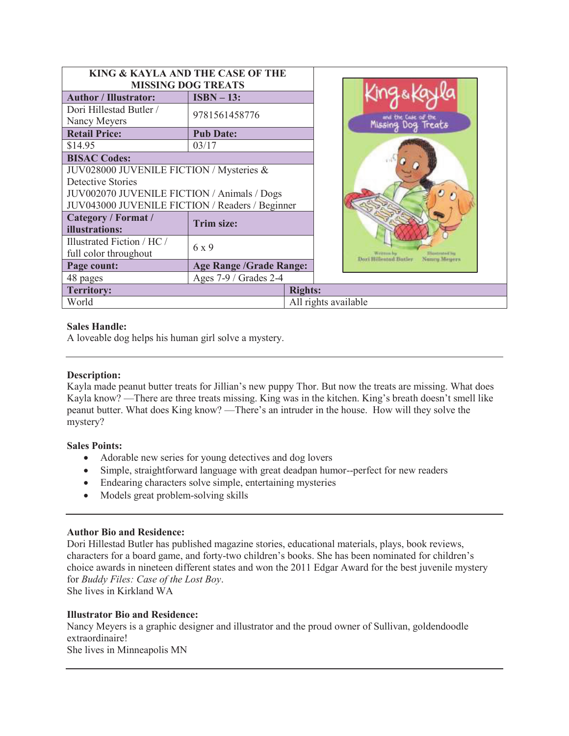|                                                 | KING & KAYLA AND THE CASE OF THE |                                       |                                        |
|-------------------------------------------------|----------------------------------|---------------------------------------|----------------------------------------|
| <b>MISSING DOG TREATS</b>                       |                                  |                                       |                                        |
| <b>Author / Illustrator:</b>                    | $ISBN - 13:$                     |                                       |                                        |
| Dori Hillestad Butler /                         | 9781561458776                    |                                       |                                        |
| Nancy Meyers                                    |                                  | Missing                               |                                        |
| <b>Retail Price:</b>                            | <b>Pub Date:</b>                 |                                       |                                        |
| \$14.95                                         | 03/17                            |                                       |                                        |
| <b>BISAC Codes:</b>                             |                                  |                                       |                                        |
| JUV028000 JUVENILE FICTION / Mysteries &        |                                  |                                       |                                        |
| Detective Stories                               |                                  |                                       |                                        |
| JUV002070 JUVENILE FICTION / Animals / Dogs     |                                  |                                       |                                        |
| JUV043000 JUVENILE FICTION / Readers / Beginner |                                  |                                       |                                        |
| Category / Format /                             | <b>Trim size:</b>                |                                       |                                        |
| illustrations:                                  |                                  |                                       |                                        |
| Illustrated Fiction / HC /                      | 6 x 9                            |                                       |                                        |
| full color throughout                           |                                  | Writtian by<br>Doo'i Hillentod Botler | <b>Tilisatented in</b><br>Nonry Meyers |
| Page count:                                     | <b>Age Range /Grade Range:</b>   |                                       |                                        |
| 48 pages                                        | Ages 7-9 / Grades 2-4            |                                       |                                        |
| <b>Territory:</b>                               |                                  | <b>Rights:</b>                        |                                        |
| World                                           |                                  | All rights available                  |                                        |

### **Sales Handle:**

A loveable dog helps his human girl solve a mystery.

## **Description:**

Kayla made peanut butter treats for Jillian's new puppy Thor. But now the treats are missing. What does Kayla know? —There are three treats missing. King was in the kitchen. King's breath doesn't smell like peanut butter. What does King know? —There's an intruder in the house. How will they solve the mystery?

### **Sales Points:**

- Adorable new series for young detectives and dog lovers
- · Simple, straightforward language with great deadpan humor--perfect for new readers
- Endearing characters solve simple, entertaining mysteries
- Models great problem-solving skills

### **Author Bio and Residence:**

Dori Hillestad Butler has published magazine stories, educational materials, plays, book reviews, characters for a board game, and forty-two children's books. She has been nominated for children's choice awards in nineteen different states and won the 2011 Edgar Award for the best juvenile mystery for *Buddy Files: Case of the Lost Boy*.

She lives in Kirkland WA

### **Illustrator Bio and Residence:**

Nancy Meyers is a graphic designer and illustrator and the proud owner of Sullivan, goldendoodle extraordinaire!

She lives in Minneapolis MN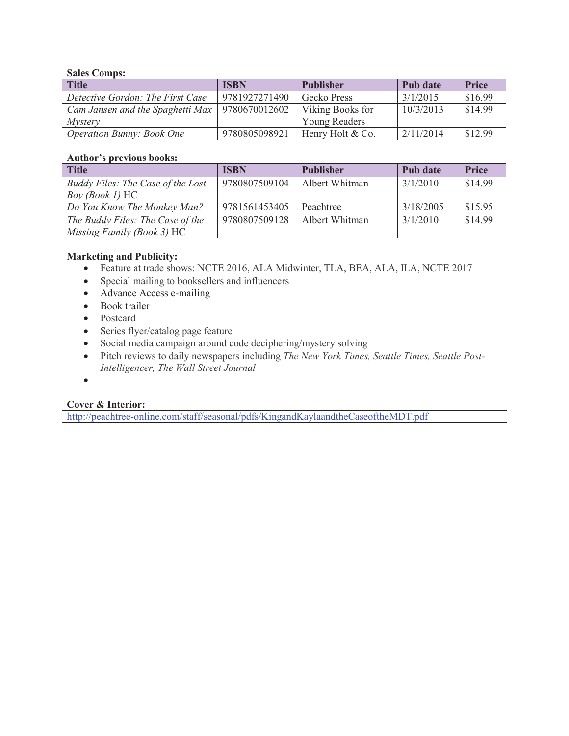## **Sales Comps:**

| <b>Title</b>                     | <b>ISBN</b>   | <b>Publisher</b> | Pub date  | <b>Price</b> |
|----------------------------------|---------------|------------------|-----------|--------------|
| Detective Gordon: The First Case | 9781927271490 | Gecko Press      | 3/1/2015  | \$16.99      |
| Cam Jansen and the Spaghetti Max | 9780670012602 | Viking Books for | 10/3/2013 | \$14.99      |
| <i>Mystery</i>                   |               | Young Readers    |           |              |
| <i>Operation Bunny: Book One</i> | 9780805098921 | Henry Holt & Co. | 2/11/2014 | \$12.99      |

#### **Author's previous books:**

| <b>Title</b>                      | <b>ISBN</b>   | <b>Publisher</b> | Pub date  | <b>Price</b> |
|-----------------------------------|---------------|------------------|-----------|--------------|
| Buddy Files: The Case of the Lost | 9780807509104 | Albert Whitman   | 3/1/2010  | \$14.99      |
| <i>Boy (Book 1)</i> HC            |               |                  |           |              |
| Do You Know The Monkey Man?       | 9781561453405 | Peachtree        | 3/18/2005 | \$15.95      |
| The Buddy Files: The Case of the  | 9780807509128 | Albert Whitman   | 3/1/2010  | \$14.99      |
| Missing Family (Book 3) HC        |               |                  |           |              |

## **Marketing and Publicity:**

- · Feature at trade shows: NCTE 2016, ALA Midwinter, TLA, BEA, ALA, ILA, NCTE 2017
- · Special mailing to booksellers and influencers
- Advance Access e-mailing
- Book trailer
- Postcard
- · Series flyer/catalog page feature
- · Social media campaign around code deciphering/mystery solving
- · Pitch reviews to daily newspapers including *The New York Times, Seattle Times, Seattle Post-Intelligencer, The Wall Street Journal*
- ·

## **Cover & Interior:**

http://peachtree-online.com/staff/seasonal/pdfs/KingandKaylaandtheCaseoftheMDT.pdf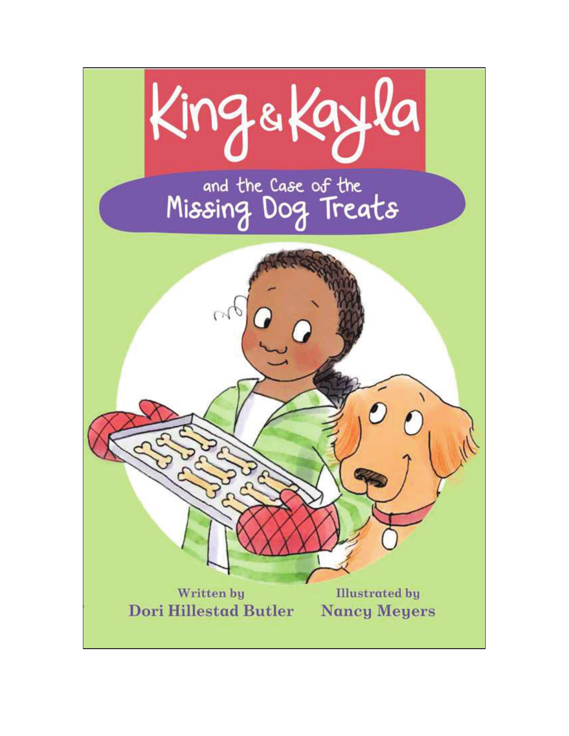